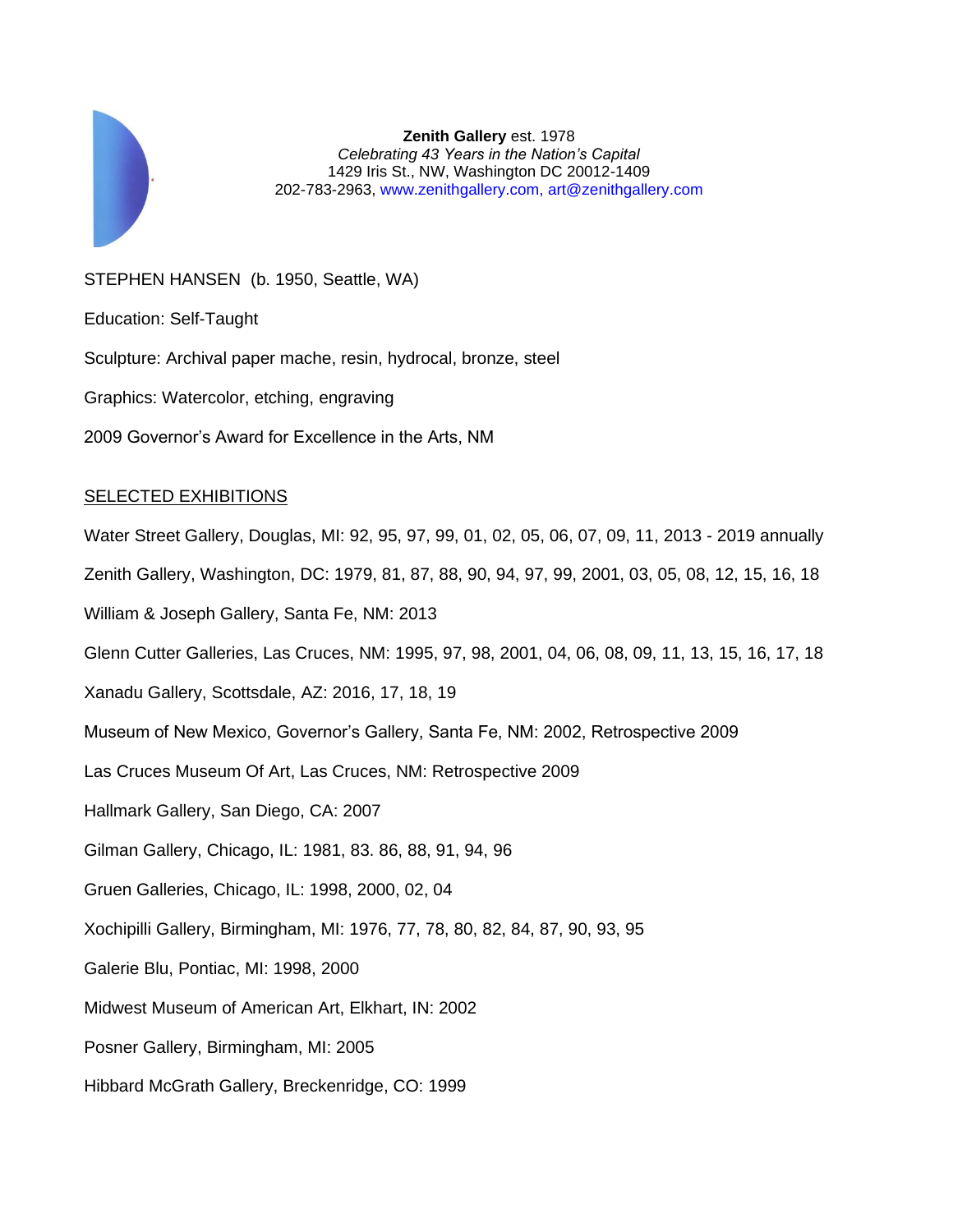

**Zenith Gallery** est. 1978 *Celebrating 43 Years in the Nation's Capital* 1429 Iris St., NW, Washington DC 20012-1409 202-783-2963, [www.zenithgallery.com,](http://www.zenithgallery.com/) [art@zenithgallery.com](mailto:art@zenithgallery.com)

## STEPHEN HANSEN (b. 1950, Seattle, WA)

Education: Self-Taught

Sculpture: Archival paper mache, resin, hydrocal, bronze, steel

Graphics: Watercolor, etching, engraving

2009 Governor's Award for Excellence in the Arts, NM

## SELECTED EXHIBITIONS

Water Street Gallery, Douglas, MI: 92, 95, 97, 99, 01, 02, 05, 06, 07, 09, 11, 2013 - 2019 annually Zenith Gallery, Washington, DC: 1979, 81, 87, 88, 90, 94, 97, 99, 2001, 03, 05, 08, 12, 15, 16, 18 William & Joseph Gallery, Santa Fe, NM: 2013

Glenn Cutter Galleries, Las Cruces, NM: 1995, 97, 98, 2001, 04, 06, 08, 09, 11, 13, 15, 16, 17, 18

Xanadu Gallery, Scottsdale, AZ: 2016, 17, 18, 19

Museum of New Mexico, Governor's Gallery, Santa Fe, NM: 2002, Retrospective 2009

Las Cruces Museum Of Art, Las Cruces, NM: Retrospective 2009

Hallmark Gallery, San Diego, CA: 2007

- Gilman Gallery, Chicago, IL: 1981, 83. 86, 88, 91, 94, 96
- Gruen Galleries, Chicago, IL: 1998, 2000, 02, 04
- Xochipilli Gallery, Birmingham, MI: 1976, 77, 78, 80, 82, 84, 87, 90, 93, 95
- Galerie Blu, Pontiac, MI: 1998, 2000
- Midwest Museum of American Art, Elkhart, IN: 2002

Posner Gallery, Birmingham, MI: 2005

Hibbard McGrath Gallery, Breckenridge, CO: 1999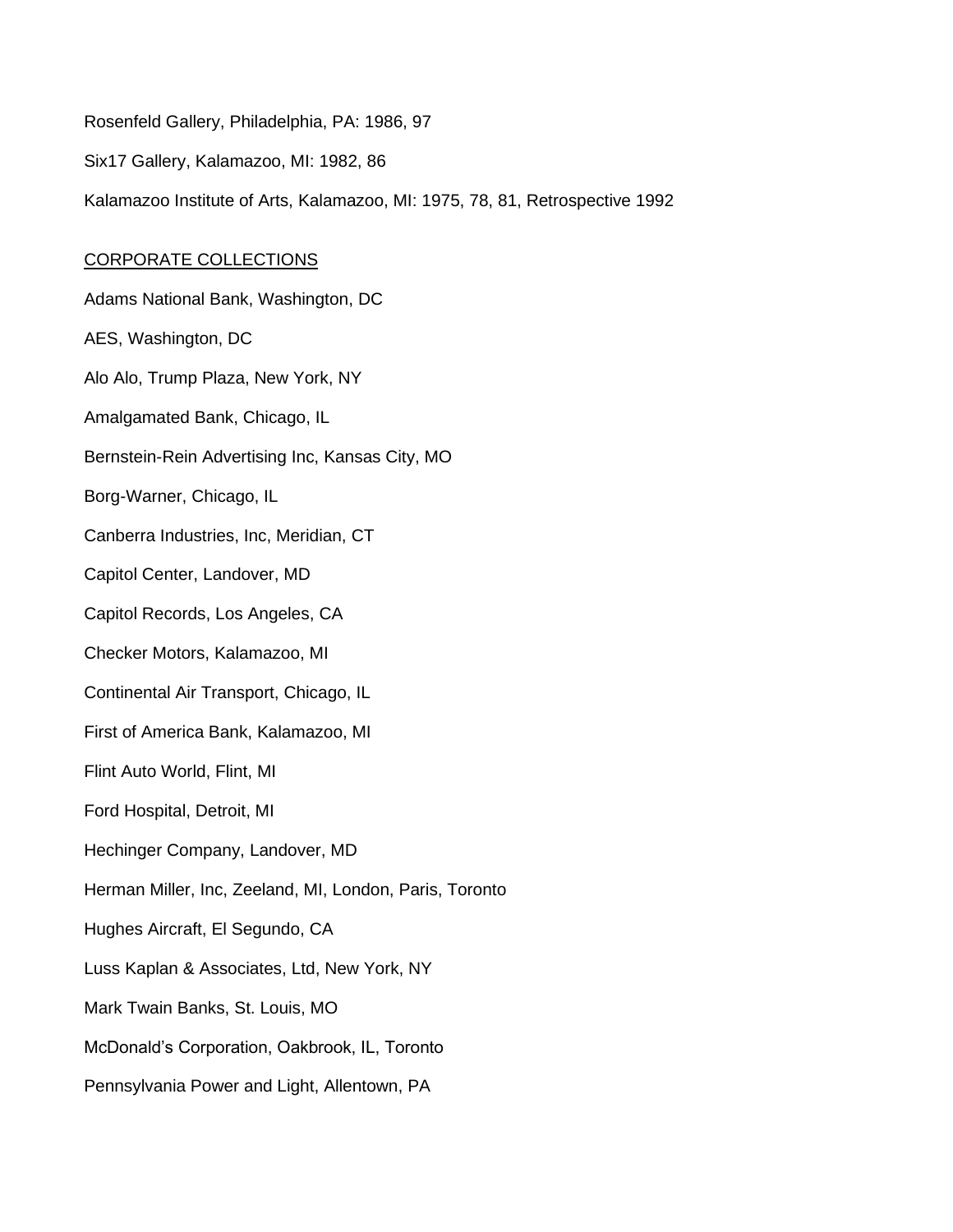Rosenfeld Gallery, Philadelphia, PA: 1986, 97 Six17 Gallery, Kalamazoo, MI: 1982, 86 Kalamazoo Institute of Arts, Kalamazoo, MI: 1975, 78, 81, Retrospective 1992

## CORPORATE COLLECTIONS

Adams National Bank, Washington, DC AES, Washington, DC Alo Alo, Trump Plaza, New York, NY Amalgamated Bank, Chicago, IL Bernstein-Rein Advertising Inc, Kansas City, MO Borg-Warner, Chicago, IL Canberra Industries, Inc, Meridian, CT Capitol Center, Landover, MD Capitol Records, Los Angeles, CA Checker Motors, Kalamazoo, MI Continental Air Transport, Chicago, IL First of America Bank, Kalamazoo, MI Flint Auto World, Flint, MI Ford Hospital, Detroit, MI Hechinger Company, Landover, MD Herman Miller, Inc, Zeeland, MI, London, Paris, Toronto Hughes Aircraft, El Segundo, CA Luss Kaplan & Associates, Ltd, New York, NY Mark Twain Banks, St. Louis, MO McDonald's Corporation, Oakbrook, IL, Toronto Pennsylvania Power and Light, Allentown, PA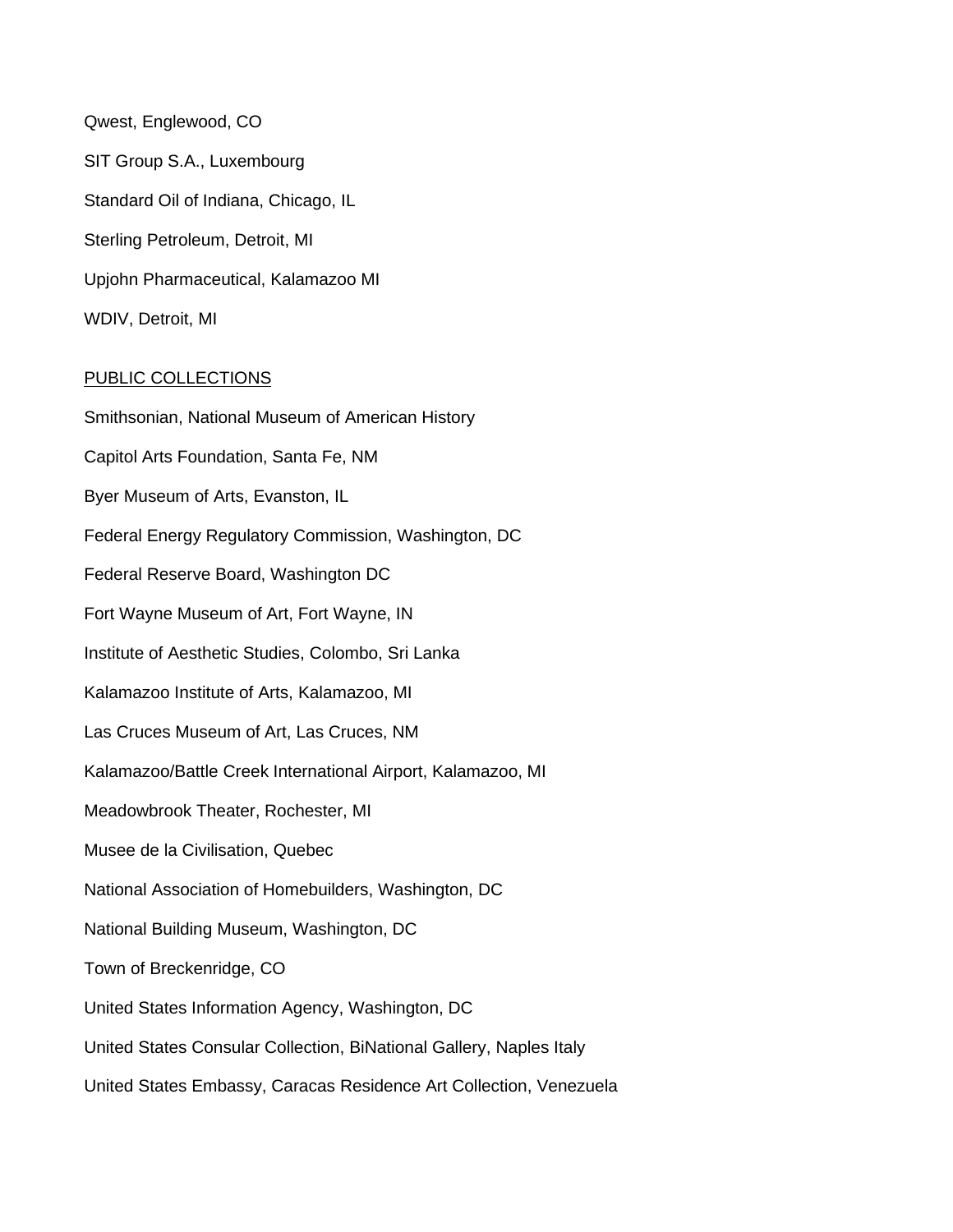Qwest, Englewood, CO SIT Group S.A., Luxembourg Standard Oil of Indiana, Chicago, IL Sterling Petroleum, Detroit, MI Upjohn Pharmaceutical, Kalamazoo MI WDIV, Detroit, MI

## PUBLIC COLLECTIONS

Smithsonian, National Museum of American History Capitol Arts Foundation, Santa Fe, NM Byer Museum of Arts, Evanston, IL Federal Energy Regulatory Commission, Washington, DC Federal Reserve Board, Washington DC Fort Wayne Museum of Art, Fort Wayne, IN Institute of Aesthetic Studies, Colombo, Sri Lanka Kalamazoo Institute of Arts, Kalamazoo, MI Las Cruces Museum of Art, Las Cruces, NM Kalamazoo/Battle Creek International Airport, Kalamazoo, MI Meadowbrook Theater, Rochester, MI Musee de la Civilisation, Quebec National Association of Homebuilders, Washington, DC National Building Museum, Washington, DC Town of Breckenridge, CO United States Information Agency, Washington, DC United States Consular Collection, BiNational Gallery, Naples Italy United States Embassy, Caracas Residence Art Collection, Venezuela